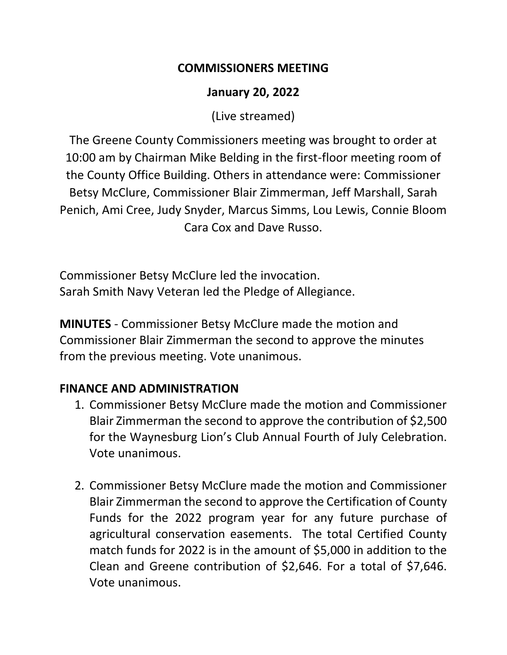#### **COMMISSIONERS MEETING**

# **January 20, 2022**

(Live streamed)

The Greene County Commissioners meeting was brought to order at 10:00 am by Chairman Mike Belding in the first-floor meeting room of the County Office Building. Others in attendance were: Commissioner Betsy McClure, Commissioner Blair Zimmerman, Jeff Marshall, Sarah Penich, Ami Cree, Judy Snyder, Marcus Simms, Lou Lewis, Connie Bloom Cara Cox and Dave Russo.

Commissioner Betsy McClure led the invocation. Sarah Smith Navy Veteran led the Pledge of Allegiance.

**MINUTES** - Commissioner Betsy McClure made the motion and Commissioner Blair Zimmerman the second to approve the minutes from the previous meeting. Vote unanimous.

# **FINANCE AND ADMINISTRATION**

- 1. Commissioner Betsy McClure made the motion and Commissioner Blair Zimmerman the second to approve the contribution of \$2,500 for the Waynesburg Lion's Club Annual Fourth of July Celebration. Vote unanimous.
- 2. Commissioner Betsy McClure made the motion and Commissioner Blair Zimmerman the second to approve the Certification of County Funds for the 2022 program year for any future purchase of agricultural conservation easements. The total Certified County match funds for 2022 is in the amount of \$5,000 in addition to the Clean and Greene contribution of \$2,646. For a total of \$7,646. Vote unanimous.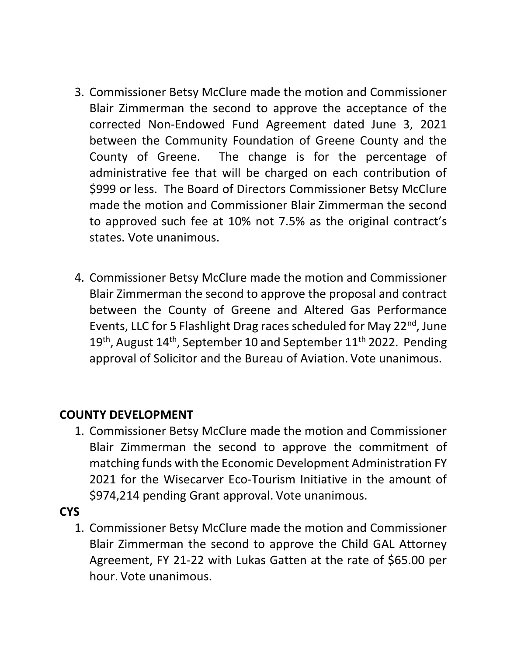- 3. Commissioner Betsy McClure made the motion and Commissioner Blair Zimmerman the second to approve the acceptance of the corrected Non-Endowed Fund Agreement dated June 3, 2021 between the Community Foundation of Greene County and the County of Greene. The change is for the percentage of administrative fee that will be charged on each contribution of \$999 or less. The Board of Directors Commissioner Betsy McClure made the motion and Commissioner Blair Zimmerman the second to approved such fee at 10% not 7.5% as the original contract's states. Vote unanimous.
- 4. Commissioner Betsy McClure made the motion and Commissioner Blair Zimmerman the second to approve the proposal and contract between the County of Greene and Altered Gas Performance Events, LLC for 5 Flashlight Drag races scheduled for May 22<sup>nd</sup>, June 19<sup>th</sup>, August 14<sup>th</sup>, September 10 and September 11<sup>th</sup> 2022. Pending approval of Solicitor and the Bureau of Aviation. Vote unanimous.

# **COUNTY DEVELOPMENT**

1. Commissioner Betsy McClure made the motion and Commissioner Blair Zimmerman the second to approve the commitment of matching funds with the Economic Development Administration FY 2021 for the Wisecarver Eco-Tourism Initiative in the amount of \$974,214 pending Grant approval. Vote unanimous.

# **CYS**

1. Commissioner Betsy McClure made the motion and Commissioner Blair Zimmerman the second to approve the Child GAL Attorney Agreement, FY 21-22 with Lukas Gatten at the rate of \$65.00 per hour. Vote unanimous.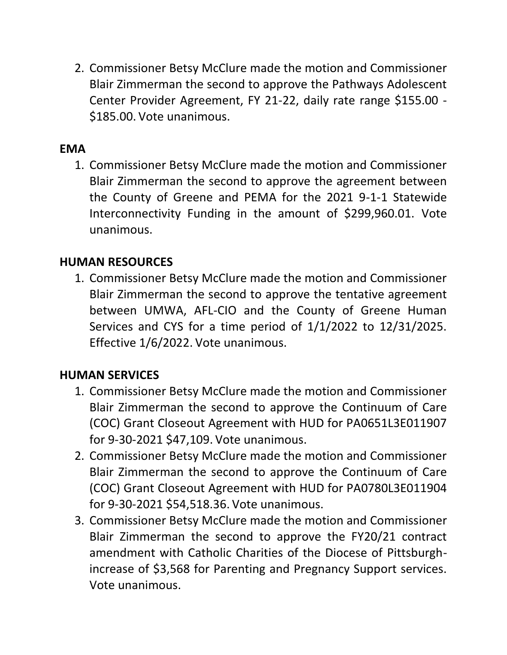2. Commissioner Betsy McClure made the motion and Commissioner Blair Zimmerman the second to approve the Pathways Adolescent Center Provider Agreement, FY 21-22, daily rate range \$155.00 - \$185.00. Vote unanimous.

#### **EMA**

1. Commissioner Betsy McClure made the motion and Commissioner Blair Zimmerman the second to approve the agreement between the County of Greene and PEMA for the 2021 9-1-1 Statewide Interconnectivity Funding in the amount of \$299,960.01. Vote unanimous.

### **HUMAN RESOURCES**

1. Commissioner Betsy McClure made the motion and Commissioner Blair Zimmerman the second to approve the tentative agreement between UMWA, AFL-CIO and the County of Greene Human Services and CYS for a time period of 1/1/2022 to 12/31/2025. Effective 1/6/2022. Vote unanimous.

#### **HUMAN SERVICES**

- 1. Commissioner Betsy McClure made the motion and Commissioner Blair Zimmerman the second to approve the Continuum of Care (COC) Grant Closeout Agreement with HUD for PA0651L3E011907 for 9-30-2021 \$47,109. Vote unanimous.
- 2. Commissioner Betsy McClure made the motion and Commissioner Blair Zimmerman the second to approve the Continuum of Care (COC) Grant Closeout Agreement with HUD for PA0780L3E011904 for 9-30-2021 \$54,518.36. Vote unanimous.
- 3. Commissioner Betsy McClure made the motion and Commissioner Blair Zimmerman the second to approve the FY20/21 contract amendment with Catholic Charities of the Diocese of Pittsburghincrease of \$3,568 for Parenting and Pregnancy Support services. Vote unanimous.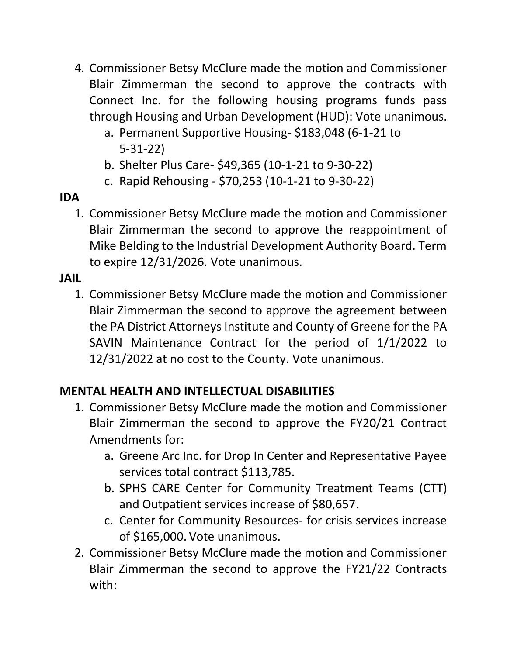- 4. Commissioner Betsy McClure made the motion and Commissioner Blair Zimmerman the second to approve the contracts with Connect Inc. for the following housing programs funds pass through Housing and Urban Development (HUD): Vote unanimous.
	- a. Permanent Supportive Housing- \$183,048 (6-1-21 to 5-31-22)
	- b. Shelter Plus Care- \$49,365 (10-1-21 to 9-30-22)
	- c. Rapid Rehousing \$70,253 (10-1-21 to 9-30-22)

# **IDA**

1. Commissioner Betsy McClure made the motion and Commissioner Blair Zimmerman the second to approve the reappointment of Mike Belding to the Industrial Development Authority Board. Term to expire 12/31/2026. Vote unanimous.

### **JAIL**

1. Commissioner Betsy McClure made the motion and Commissioner Blair Zimmerman the second to approve the agreement between the PA District Attorneys Institute and County of Greene for the PA SAVIN Maintenance Contract for the period of 1/1/2022 to 12/31/2022 at no cost to the County. Vote unanimous.

# **MENTAL HEALTH AND INTELLECTUAL DISABILITIES**

- 1. Commissioner Betsy McClure made the motion and Commissioner Blair Zimmerman the second to approve the FY20/21 Contract Amendments for:
	- a. Greene Arc Inc. for Drop In Center and Representative Payee services total contract \$113,785.
	- b. SPHS CARE Center for Community Treatment Teams (CTT) and Outpatient services increase of \$80,657.
	- c. Center for Community Resources- for crisis services increase of \$165,000. Vote unanimous.
- 2. Commissioner Betsy McClure made the motion and Commissioner Blair Zimmerman the second to approve the FY21/22 Contracts with: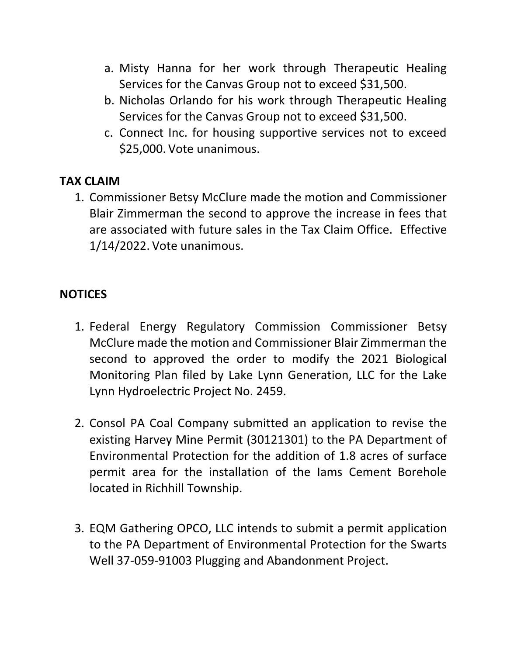- a. Misty Hanna for her work through Therapeutic Healing Services for the Canvas Group not to exceed \$31,500.
- b. Nicholas Orlando for his work through Therapeutic Healing Services for the Canvas Group not to exceed \$31,500.
- c. Connect Inc. for housing supportive services not to exceed \$25,000. Vote unanimous.

#### **TAX CLAIM**

1. Commissioner Betsy McClure made the motion and Commissioner Blair Zimmerman the second to approve the increase in fees that are associated with future sales in the Tax Claim Office. Effective 1/14/2022. Vote unanimous.

### **NOTICES**

- 1. Federal Energy Regulatory Commission Commissioner Betsy McClure made the motion and Commissioner Blair Zimmerman the second to approved the order to modify the 2021 Biological Monitoring Plan filed by Lake Lynn Generation, LLC for the Lake Lynn Hydroelectric Project No. 2459.
- 2. Consol PA Coal Company submitted an application to revise the existing Harvey Mine Permit (30121301) to the PA Department of Environmental Protection for the addition of 1.8 acres of surface permit area for the installation of the Iams Cement Borehole located in Richhill Township.
- 3. EQM Gathering OPCO, LLC intends to submit a permit application to the PA Department of Environmental Protection for the Swarts Well 37-059-91003 Plugging and Abandonment Project.